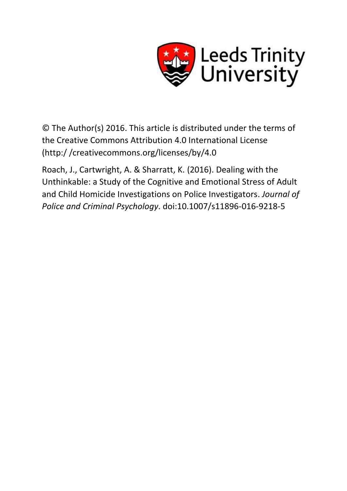

© The Author(s) 2016. This article is distributed under the terms of the Creative Commons Attribution 4.0 International License (http:/ /creativecommons.org/licenses/by/4.0

Roach, J., Cartwright, A. & Sharratt, K. (2016). Dealing with the Unthinkable: a Study of the Cognitive and Emotional Stress of Adult and Child Homicide Investigations on Police Investigators. *Journal of Police and Criminal Psychology*. doi:10.1007/s11896-016-9218-5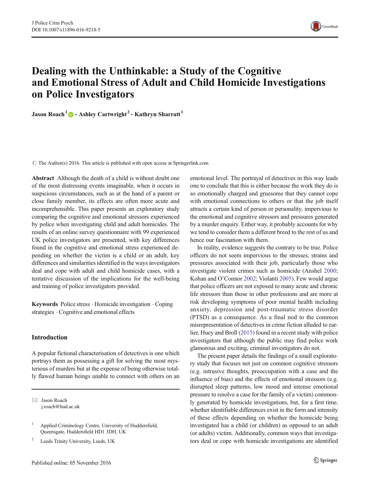

# Dealing with the Unthinkable: a Study of the Cognitive and Emotional Stress of Adult and Child Homicide Investigations on Police Investigators

Jason Roach<sup>1</sup>  $\bullet$  Ashley Cartwright<sup>2</sup>  $\cdot$  Kathryn Sharratt<sup>1</sup>

 $\odot$  The Author(s) 2016. This article is published with open access at Springerlink.com

Abstract Although the death of a child is without doubt one of the most distressing events imaginable, when it occurs in suspicious circumstances, such as at the hand of a parent or close family member, its effects are often more acute and incomprehensible. This paper presents an exploratory study comparing the cognitive and emotional stressors experienced by police when investigating child and adult homicides. The results of an online survey questionnaire with 99 experienced UK police investigators are presented, with key differences found in the cognitive and emotional stress experienced depending on whether the victim is a child or an adult, key differences and similarities identified in the ways investigators deal and cope with adult and child homicide cases, with a tentative discussion of the implications for the well-being and training of police investigators provided.

Keywords Police stress . Homicide investigation . Coping strategies . Cognitive and emotional effects

#### Introduction

A popular fictional characterisation of detectives is one which portrays them as possessing a gift for solving the most mysterious of murders but at the expense of being otherwise totally flawed human beings unable to connect with others on an

 $\boxtimes$  Jason Roach j.roach@hud.ac.uk

<sup>2</sup> Leeds Trinity University, Leeds, UK

emotional level. The portrayal of detectives in this way leads one to conclude that this is either because the work they do is so emotionally charged and gruesome that they cannot cope with emotional connections to others or that the job itself attracts a certain kind of person or personality, impervious to the emotional and cognitive stressors and pressures generated by a murder enquiry. Either way, it probably accounts for why we tend to consider them a different breed to the rest of us and hence our fascination with them.

In reality, evidence suggests the contrary to be true. Police officers do not seem impervious to the stresses, strains and pressures associated with their job, particularly those who investigate violent crimes such as homicide (Anshel [2000;](#page-12-0) Kohan and O'Connor [2002;](#page-12-0) Violanti [2005\)](#page-12-0). Few would argue that police officers are not exposed to many acute and chronic life stressors than those in other professions and are more at risk developing symptoms of poor mental health including anxiety, depression and post-traumatic stress disorder (PTSD) as a consequence. As a final nod to the common misrepresentation of detectives in crime fiction alluded to earlier, Huey and Broll [\(2015\)](#page-12-0) found in a recent study with police investigators that although the public may find police work glamorous and exciting, criminal investigators do not.

The present paper details the findings of a small exploratory study that focuses not just on common cognitive stressors (e.g. intrusive thoughts, preoccupation with a case and the influence of bias) and the effects of emotional stressors (e.g. disrupted sleep patterns, low mood and intense emotional pressure to resolve a case for the family of a victim) commonly generated by homicide investigations, but, for a first time, whether identifiable differences exist in the form and intensity of these effects depending on whether the homicide being investigated has a child (or children) as opposed to an adult (or adults) victim. Additionally, common ways that investigators deal or cope with homicide investigations are identified

<sup>1</sup> Applied Criminology Centre, University of Huddersfield, Queensgate, Huddersfield HD1 3DH, UK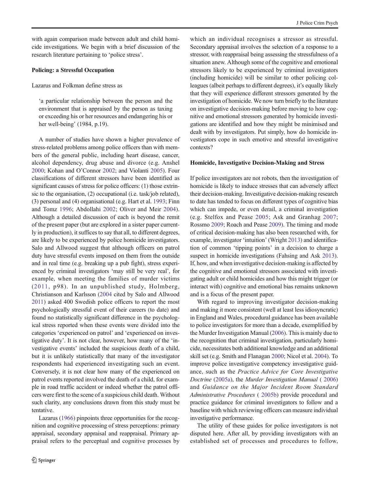with again comparison made between adult and child homicide investigations. We begin with a brief discussion of the research literature pertaining to 'police stress'.

#### Policing: a Stressful Occupation

Lazarus and Folkman define stress as

'a particular relationship between the person and the environment that is appraised by the person as taxing or exceeding his or her resources and endangering his or her well-being' (1984, p.19).

A number of studies have shown a higher prevalence of stress-related problems among police officers than with members of the general public, including heart disease, cancer, alcohol dependency, drug abuse and divorce (e.g. Anshel [2000;](#page-12-0) Kohan and O'Connor [2002](#page-12-0); and Violanti [2005\)](#page-12-0). Four classifications of different stressors have been identified as significant causes of stress for police officers: (1) those extrinsic to the organisation, (2) occupational (i.e. task/job related), (3) personal and (4) organisational (e.g. Hart et al. [1993](#page-12-0); Finn and Tomz [1996;](#page-12-0) Abdollahi [2002](#page-12-0); Oliver and Meir [2004](#page-12-0)). Although a detailed discussion of each is beyond the remit of the present paper (but are explored in a sister paper currently in production), it suffices to say that all, to different degrees, are likely to be experienced by police homicide investigators. Salo and Allwood suggest that although officers on patrol duty have stressful events imposed on them from the outside and in real time (e.g. breaking up a pub fight), stress experienced by criminal investigators 'may still be very real', for example, when meeting the families of murder victims ([2011,](#page-12-0) p98). In an unpublished study, Holmberg, Christianson and Karlsson ([2004](#page-12-0) cited by Salo and Allwood [2011](#page-12-0)) asked 400 Swedish police officers to report the most psychologically stressful event of their careers (to date) and found no statistically significant difference in the psychological stress reported when these events were divided into the categories 'experienced on patrol' and 'experienced on investigative duty'. It is not clear, however, how many of the 'investigative events' included the suspicious death of a child, but it is unlikely statistically that many of the investigator respondents had experienced investigating such an event. Conversely, it is not clear how many of the experienced on patrol events reported involved the death of a child, for example in road traffic accident or indeed whether the patrol officers were first to the scene of a suspicious child death. Without such clarity, any conclusions drawn from this study must be tentative.

Lazarus [\(1966\)](#page-12-0) pinpoints three opportunities for the recognition and cognitive processing of stress perceptions: primary appraisal, secondary appraisal and reappraisal. Primary appraisal refers to the perceptual and cognitive processes by

which an individual recognises a stressor as stressful. Secondary appraisal involves the selection of a response to a stressor, with reappraisal being assessing the stressfulness of a situation anew. Although some of the cognitive and emotional stressors likely to be experienced by criminal investigators (including homicide) will be similar to other policing colleagues (albeit perhaps to different degrees), it's equally likely that they will experience different stressors generated by the investigation of homicide. We now turn briefly to the literature on investigative decision-making before moving to how cognitive and emotional stressors generated by homicide investigations are identified and how they might be minimised and dealt with by investigators. Put simply, how do homicide investigators cope in such emotive and stressful investigative contexts?

#### Homicide, Investigative Decision-Making and Stress

If police investigators are not robots, then the investigation of homicide is likely to induce stresses that can adversely affect their decision-making. Investigative decision-making research to date has tended to focus on different types of cognitive bias which can impede, or even derail, a criminal investigation (e.g. Stelfox and Pease [2005;](#page-12-0) Ask and Granhag [2007;](#page-12-0) Rossmo [2009;](#page-12-0) Roach and Pease [2009\)](#page-12-0). The timing and mode of critical decision-making has also been researched with, for example, investigator 'intuition' (Wright [2013\)](#page-12-0) and identification of common 'tipping points' in a decision to charge a suspect in homicide investigations (Fahsing and Ask [2013\)](#page-12-0). If, how, and when investigative decision-making is affected by the cognitive and emotional stressors associated with investigating adult or child homicides and how this might trigger (or interact with) cognitive and emotional bias remains unknown and is a focus of the present paper.

With regard to improving investigator decision-making and making it more consistent (well at least less idiosyncratic) in England and Wales, procedural guidance has been available to police investigators for more than a decade, exemplified by the Murder Investigation Manual ([2006](#page-12-0)). This is mainly due to the recognition that criminal investigation, particularly homicide, necessitates both additional knowledge and an additional skill set (e.g. Smith and Flanagan [2000;](#page-12-0) Nicol et al. [2004](#page-12-0)). To improve police investigative competency investigative guidance, such as the Practice Advice for Core Investigative Doctrine [\(2005a\)](#page-12-0), the Murder Investigation Manual ( [2006](#page-12-0)) and Guidance on the Major Incident Room Standard Administrative Procedures ( [2005b](#page-12-0)) provide procedural and practice guidance for criminal investigators to follow and a baseline with which reviewing officers can measure individual investigative performance.

The utility of these guides for police investigators is not disputed here. After all, by providing investigators with an established set of processes and procedures to follow,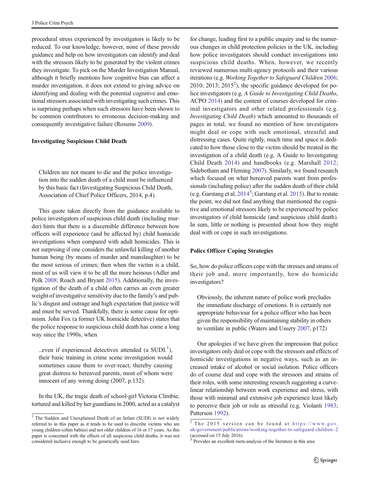procedural stress experienced by investigators is likely to be reduced. To our knowledge, however, none of these provide guidance and help on how investigators can identify and deal with the stressors likely to be generated by the violent crimes they investigate. To pick on the Murder Investigation Manual, although it briefly mentions how cognitive bias can affect a murder investigation, it does not extend to giving advice on identifying and dealing with the potential cognitive and emotional stressors associated with investigating such crimes. This is surprising perhaps when such stressors have been shown to be common contributors to erroneous decision-making and consequently investigative failure (Rossmo [2009](#page-12-0)).

#### Investigating Suspicious Child Death

Children are not meant to die and the police investigation into the sudden death of a child must be influenced by this basic fact (Investigating Suspicious Child Death, Association of Chief Police Officers, 2014, p.4).

This quote taken directly from the guidance available to police investigators of suspicious child death (including murder) hints that there is a discernible difference between how officers will experience (and be affected by) child homicide investigations when compared with adult homicides. This is not surprising if one considers the unlawful killing of another human being (by means of murder and manslaughter) to be the most serious of crimes; then when the victim is a child, most of us will view it to be all the more heinous (Adler and Polk [2008](#page-12-0); Roach and Bryant [2015](#page-12-0)). Additionally, the investigation of the death of a child often carries an even greater weight of investigative sensitivity due to the family's and public's disgust and outrage and high expectation that justice will and must be served. Thankfully, there is some cause for optimism. John Fox (a former UK homicide detective) states that the police response to suspicious child death has come a long way since the 1990s, when

..even if experienced detectives attended (a  $SUDI<sup>1</sup>$ ), their basic training in crime scene investigation would sometimes cause them to over-react, thereby causing great distress to bereaved parents, most of whom were innocent of any wrong doing (2007, p.132).

In the UK, the tragic death of school-girl Victoria Climbie, tortured and killed by her guardians in 2000, acted as a catalyst

for change, leading first to a public enquiry and to the numerous changes in child protection policies in the UK, including how police investigators should conduct investigations into suspicious child deaths. When, however, we recently reviewed numerous multi-agency protocols and their various iterations (e.g. Working Together to Safeguard Children [2006;](#page-12-0) 2010; 2013; 2015<sup>2</sup>), the specific guidance developed for police investigators (e.g. A Guide to Investigating Child Deaths, ACPO [2014\)](#page-12-0) and the content of courses developed for criminal investigators and other related professionals (e.g. Investigating Child Death) which amounted to thousands of pages in total, we found no mention of how investigators might deal or cope with such emotional, stressful and distressing cases. Quite rightly, much time and space is dedicated to how those close to the victim should be treated in the investigation of a child death (e.g. A Guide to Investigating Child Death [2014](#page-12-0)) and handbooks (e.g. Marshall [2012;](#page-12-0) Sidebotham and Fleming [2007\)](#page-12-0). Similarly, we found research which focused on what bereaved parents want from professionals (including police) after the sudden death of their child (e.g. Garstang et al. [20143](#page-12-0) ; Garstang et al. [2015](#page-12-0)). But to restate the point, we did not find anything that mentioned the cognitive and emotional stressors likely to be experienced by police investigators of child homicide (and suspicious child death). In sum, little or nothing is presented about how they might deal with or cope in such investigations.

#### Police Officer Coping Strategies

So, how do police officers cope with the stresses and strains of their job and, more importantly, how do homicide investigators?

Obviously, the inherent nature of police work precludes the immediate discharge of emotions. It is certainly not appropriate behaviour for a police officer who has been given the responsibility of maintaining stability in others to ventilate in public (Waters and Ussery [2007,](#page-12-0) p172)

Our apologies if we have given the impression that police investigators only deal or cope with the stressors and effects of homicide investigations in negative ways, such as an increased intake of alcohol or social isolation. Police officers do of course deal and cope with the stressors and strains of their roles, with some interesting research suggesting a curvelinear relationship between work experience and stress, with those with minimal and extensive job experience least likely to perceive their job or role as stressful (e.g. Violanti [1983;](#page-12-0)

<sup>&</sup>lt;sup>1</sup> The Sudden and Unexplained Death of an Infant (SUDI) is not widely  $\frac{\text{Patterson 1992}}{\text{Patterson 1992}}$  $\frac{\text{Patterson 1992}}{\text{Patterson 1992}}$  $\frac{\text{Patterson 1992}}{\text{Patterson 1992}}$ . referred to in this paper as it tends to be used to describe victims who are young children (often babies) and not older children of 16 or 17 years. As this paper is concerned with the effects of all suspicious child deaths, it was not considered inclusive enough to be generically used here.

 $\sqrt{2}$  The 2015 version can be found at [https://www.gov.](https://www.gov.uk/government/publications/working-together-to-safeguard-children--2) [uk/government/publications/working-together-to-safeguard-children](https://www.gov.uk/government/publications/working-together-to-safeguard-children--2)–2 (accessed on 15 July 2016).

<sup>&</sup>lt;sup>3</sup> Provides an excellent meta-analysis of the literature in this area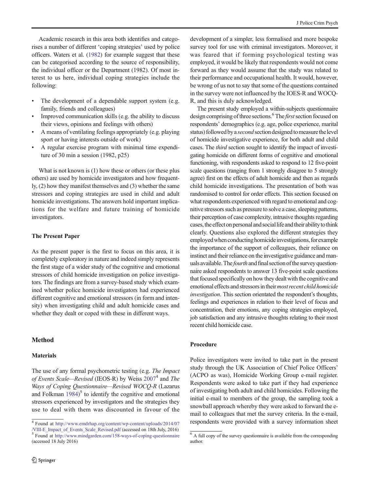Academic research in this area both identifies and categorises a number of different 'coping strategies' used by police officers. Waters et al. [\(1982\)](#page-12-0) for example suggest that these can be categorised according to the source of responsibility, the individual officer or the Department (1982). Of most interest to us here, individual coping strategies include the following:

- The development of a dependable support system (e.g. family, friends and colleagues)
- & Improved communication skills (e.g. the ability to discuss their views, opinions and feelings with others)
- & A means of ventilating feelings appropriately (e.g. playing sport or having interests outside of work)
- & A regular exercise program with minimal time expenditure of 30 min a session (1982, p25)

What is not known is (1) how these or others (or these plus others) are used by homicide investigators and how frequently, (2) how they manifest themselves and (3) whether the same stressors and coping strategies are used in child and adult homicide investigations. The answers hold important implications for the welfare and future training of homicide investigators.

## The Present Paper

As the present paper is the first to focus on this area, it is completely exploratory in nature and indeed simply represents the first stage of a wider study of the cognitive and emotional stressors of child homicide investigation on police investigators. The findings are from a survey-based study which examined whether police homicide investigators had experienced different cognitive and emotional stressors (in form and intensity) when investigating child and adult homicide cases and whether they dealt or coped with these in different ways.

# Method

# **Materials**

The use of any formal psychometric testing (e.g. The Impact of Events Scale—Revised (IEOS-R) by Weiss [20074](#page-12-0) and The Ways of Coping Questionnaire—Revised WOCQ-R (Lazarus and Folkman [1984\)](#page-12-0) <sup>5</sup> to identify the cognitive and emotional stressors experienced by investigators and the strategies they use to deal with them was discounted in favour of the

development of a simpler, less formalised and more bespoke survey tool for use with criminal investigators. Moreover, it was feared that if forming psychological testing was employed, it would be likely that respondents would not come forward as they would assume that the study was related to their performance and occupational health. It would, however, be wrong of us not to say that some of the questions contained in the survey were not influenced by the IOES-R and WOCQ-R, and this is duly acknowledged.

The present study employed a within-subjects questionnaire design comprising of three sections.<sup>6</sup> The *first* section focused on respondents' demographics (e.g. age, police experience, marital status) followed by a second section designed to measure the level of homicide investigative experience, for both adult and child cases. The third section sought to identify the impact of investigating homicide on different forms of cognitive and emotional functioning, with respondents asked to respond to 12 five-point scale questions (ranging from 1 strongly disagree to 5 strongly agree) first on the effects of adult homicide and then as regards child homicide investigations. The presentation of both was randomised to control for order effects. This section focused on what respondents experienced with regard to emotional and cognitive stressors such as pressure to solve a case, sleeping patterns, their perception of case complexity, intrusive thoughts regarding cases, the effect on personal and social life and their ability to think clearly. Questions also explored the different strategies they employed when conducting homicide investigations, for example the importance of the support of colleagues, their reliance on instinct and their reliance on the investigative guidance and manuals available. The fourth and final section of the survey questionnaire asked respondents to answer 13 five-point scale questions that focused specifically on how they dealt with the cognitive and emotional effects and stressors in their *most recent child homicide* investigation. This section orientated the respondent's thoughts, feelings and experiences in relation to their level of focus and concentration, their emotions, any coping strategies employed, job satisfaction and any intrusive thoughts relating to their most recent child homicide case.

# Procedure

Police investigators were invited to take part in the present study through the UK Association of Chief Police Officers' (ACPO as was), Homicide Working Group e-mail register. Respondents were asked to take part if they had experience of investigating both adult and child homicides. Following the initial e-mail to members of the group, the sampling took a snowball approach whereby they were asked to forward the email to colleagues that met the survey criteria. In the e-mail,

<sup>&</sup>lt;sup>4</sup> Found at [http://www.emdrhap.org/content/wp-content/uploads/2014/07](http://www.emdrhap.org/content/wp-content/uploads/2014/07/VIII-E_Impact_of_Events_Scale_Revised.pdf) respondents were provided with a survey information sheet *NIII-E* Impact of Events Scale Revised.pdf (accessed on 18th July, 2016)

 $<sup>5</sup>$  Found at <http://www.mindgarden.com/158-ways-of-coping-questionnaire></sup> (accessed 18 July 2016)

<sup>&</sup>lt;sup>6</sup> A full copy of the survey questionnaire is available from the corresponding author.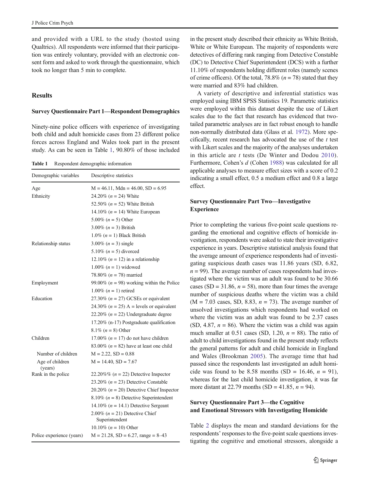<span id="page-5-0"></span>and provided with a URL to the study (hosted using Qualtrics). All respondents were informed that their participation was entirely voluntary, provided with an electronic consent form and asked to work through the questionnaire, which took no longer than 5 min to complete.

# Results

#### Survey Questionnaire Part 1—Respondent Demographics

Ninety-nine police officers with experience of investigating both child and adult homicide cases from 23 different police forces across England and Wales took part in the present study. As can be seen in Table 1, 90.80% of those included

Table 1 Respondent demographic information

| Demographic variables      | Descriptive statistics                             |
|----------------------------|----------------------------------------------------|
| Age                        | $M = 46.11$ , Mdn = 46.00, SD = 6.95               |
| Ethnicity                  | 24.20% ( $n = 24$ ) White                          |
|                            | 52.50% ( $n = 52$ ) White British                  |
|                            | 14.10% ( $n = 14$ ) White European                 |
|                            | 5.00% ( $n = 5$ ) Other                            |
|                            | 3.00% $(n = 3)$ British                            |
|                            | 1.0% $(n = 1)$ Black British                       |
| Relationship status        | 3.00% $(n = 3)$ single                             |
|                            | 5.10% ( $n = 5$ ) divorced                         |
|                            | 12.10% ( $n = 12$ ) in a relationship              |
|                            | 1.00% $(n = 1)$ widowed                            |
|                            | 78.80% ( $n = 78$ ) married                        |
| Employment                 | 99.00% ( $n = 98$ ) working within the Police      |
|                            | 1.00% $(n = 1)$ retired                            |
| Education                  | 27.30% ( $n = 27$ ) GCSEs or equivalent            |
|                            | 24.30% ( $n = 25$ ) A = levels or equivalent       |
|                            | 22.20% ( $n = 22$ ) Undergraduate degree           |
|                            | 17.20% (n-17) Postgraduate qualification           |
|                            | 8.1% $(n = 8)$ Other                               |
| Children                   | 17.00% ( $n = 17$ ) do not have children           |
|                            | 83.00% ( $n = 82$ ) have at least one child        |
| Number of children         | $M = 2.22$ , $SD = 0.88$                           |
| Age of children<br>(years) | $M = 14.40$ , $SD = 7.67$                          |
| Rank in the police         | 22.20%% ( $n = 22$ ) Detective Inspector           |
|                            | 23.20% ( $n = 23$ ) Detective Constable            |
|                            | 20.20% ( $n = 20$ ) Detective Chief Inspector      |
|                            | 8.10% ( $n = 8$ ) Detective Superintendent         |
|                            | 14.10% ( $n = 14.1$ ) Detective Sergeant           |
|                            | 2.00% $(n = 21)$ Detective Chief<br>Superintendent |
|                            | 10.10% $(n = 10)$ Other                            |
| Police experience (years)  | $M = 21.28$ , $SD = 6.27$ , range = 8-43           |

in the present study described their ethnicity as White British, White or White European. The majority of respondents were detectives of differing rank ranging from Detective Constable (DC) to Detective Chief Superintendent (DCS) with a further 11.10% of respondents holding different roles (namely scenes of crime officers). Of the total, 78.8% ( $n = 78$ ) stated that they were married and 83% had children.

A variety of descriptive and inferential statistics was employed using IBM SPSS Statistics 19. Parametric statistics were employed within this dataset despite the use of Likert scales due to the fact that research has evidenced that twotailed parametric analyses are in fact robust enough to handle non-normally distributed data (Glass et al. [1972](#page-12-0)). More specifically, recent research has advocated the use of the  $t$  test with Likert scales and the majority of the analyses undertaken in this article are t tests (De Winter and Dodou [2010](#page-12-0)). Furthermore, Cohen's d (Cohen [1988](#page-12-0)) was calculated for all applicable analyses to measure effect sizes with a score of 0.2 indicating a small effect, 0.5 a medium effect and 0.8 a large effect.

## Survey Questionnaire Part Two—Investigative Experience

Prior to completing the various five-point scale questions regarding the emotional and cognitive effects of homicide investigation, respondents were asked to state their investigative experience in years. Descriptive statistical analysis found that the average amount of experience respondents had of investigating suspicious death cases was 11.86 years (SD, 6.82,  $n = 99$ ). The average number of cases respondents had investigated where the victim was an adult was found to be 30.66 cases (SD = 31.86,  $n = 58$ ), more than four times the average number of suspicious deaths where the victim was a child  $(M = 7.03 \text{ cases}, SD, 8.83, n = 73)$ . The average number of unsolved investigations which respondents had worked on where the victim was an adult was found to be 2.37 cases (SD, 4.87,  $n = 86$ ). Where the victim was a child was again much smaller at 0.51 cases (SD, 1.20,  $n = 88$ ). The ratio of adult to child investigations found in the present study reflects the general patterns for adult and child homicide in England and Wales (Brookman [2005\)](#page-12-0). The average time that had passed since the respondents last investigated an adult homicide was found to be 8.58 months (SD = 16.46,  $n = 91$ ), whereas for the last child homicide investigation, it was far more distant at 22.79 months (SD = 41.85,  $n = 94$ ).

# Survey Questionnaire Part 3—the Cognitive and Emotional Stressors with Investigating Homicide

Table [2](#page-6-0) displays the mean and standard deviations for the respondents' responses to the five-point scale questions investigating the cognitive and emotional stressors, alongside a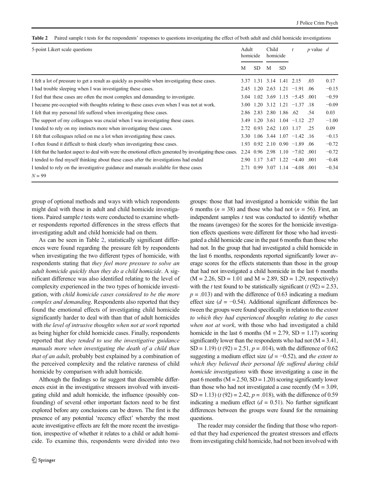<span id="page-6-0"></span>Table 2 Paired sample t tests for the respondents' responses to questions investigating the effect of both adult and child homicide investigations

| 5-point Likert scale questions                                                                                 |      | Adult<br>homicide |                          | Child<br>homicide |                                                              | p value $d$ |         |
|----------------------------------------------------------------------------------------------------------------|------|-------------------|--------------------------|-------------------|--------------------------------------------------------------|-------------|---------|
|                                                                                                                | М    | <b>SD</b>         | M                        | <b>SD</b>         |                                                              |             |         |
| I felt a lot of pressure to get a result as quickly as possible when investigating these cases.                | 3.37 |                   | 1.31 3.14 1.41 2.15      |                   |                                                              | .03         | 0.17    |
| I had trouble sleeping when I was investigating these cases.                                                   | 2.45 |                   | 1.20 2.63                |                   | $1.21 -1.91$ .06                                             |             | $-0.15$ |
| I feel that these cases are often the most complex and demanding to investigate.                               | 3.04 |                   |                          |                   | $1.02$ 3.69 $1.15$ -5.45 .001                                |             | $-0.59$ |
| I became pre-occupied with thoughts relating to these cases even when I was not at work.                       |      |                   |                          |                   | $3.00 \quad 1.20 \quad 3.12 \quad 1.21 \quad -1.37 \quad 18$ |             | $-0.09$ |
| I felt that my personal life suffered when investigating these cases.                                          |      |                   | 2.86 2.83 2.80 1.86 .62  |                   |                                                              | .54         | 0.03    |
| The support of my colleagues was crucial when I was investigating these cases.                                 |      |                   |                          |                   | 3.49 1.20 3.61 1.04 -1.12 .27                                |             | $-1.00$ |
| I tended to rely on my instincts more when investigating these cases.                                          |      |                   | 2.72 0.93 2.62 1.03 1.17 |                   |                                                              | .25         | 0.09    |
| I felt that colleagues relied on me a lot when investigating these cases.                                      |      |                   |                          |                   | $3.30 \quad 1.06 \quad 3.44 \quad 1.07 \quad -1.42 \quad 16$ |             | $-0.13$ |
| I often found it difficult to think clearly when investigating these cases.                                    |      |                   |                          |                   | $1.93$ 0.92 2.10 0.90 -1.89                                  | .06         | $-0.72$ |
| I felt that the hardest aspect to deal with were the emotional effects generated by investigating these cases. |      |                   |                          |                   | $2.24$ 0.96 2.98 1.10 $-7.02$                                | .001        | $-0.72$ |
| I tended to find myself thinking about these cases after the investigations had ended                          |      |                   |                          |                   | $2.90$ 1.17 3.47 1.22 -4.40 .001                             |             | $-0.48$ |
| I tended to rely on the investigative guidance and manuals available for these cases<br>$N = 99$               |      |                   |                          |                   | $2.71$ 0.99 3.07 1.14 $-4.08$ 0.01                           |             | $-0.34$ |

group of optional methods and ways with which respondents might deal with these in adult and child homicide investigations. Paired sample  $t$  tests were conducted to examine whether respondents reported differences in the stress effects that investigating adult and child homicide had on them.

As can be seen in Table 2, statistically significant differences were found regarding the pressure felt by respondents when investigating the two different types of homicide, with respondents stating that they feel more pressure to solve an adult homicide quickly than they do a child homicide. A significant difference was also identified relating to the level of complexity experienced in the two types of homicide investigation, with child homicide cases considered to be the more complex and demanding. Respondents also reported that they found the emotional effects of investigating child homicide significantly harder to deal with than that of adult homicides with the level of intrusive thoughts when not at work reported as being higher for child homicide cases. Finally, respondents reported that they tended to use the investigative guidance manuals more when investigating the death of a child than that of an adult, probably best explained by a combination of the perceived complexity and the relative rareness of child homicide by comparison with adult homicide.

Although the findings so far suggest that discernible differences exist in the investigative stressors involved with investigating child and adult homicide, the influence (possibly confounding) of several other important factors need to be first explored before any conclusions can be drawn. The first is the presence of any potential 'recency effect' whereby the most acute investigative effects are felt the more recent the investigation, irrespective of whether it relates to a child or adult homicide. To examine this, respondents were divided into two groups: those that had investigated a homicide within the last 6 months ( $n = 38$ ) and those who had not ( $n = 56$ ). First, an independent samples  $t$  test was conducted to identify whether the means (averages) for the scores for the homicide investigation effects questions were different for those who had investigated a child homicide case in the past 6 months than those who had not. In the group that had investigated a child homicide in the last 6 months, respondents reported significantly lower average scores for the effects statements than those in the group that had not investigated a child homicide in the last 6 months  $(M = 2.26, SD = 1.01$  and  $M = 2.89, SD = 1.29$ , respectively) with the t test found to be statistically significant ( $t$  (92) = 2.53,  $p = .013$ ) and with the difference of 0.63 indicating a medium effect size ( $d = -0.54$ ). Additional significant differences between the groups were found specifically in relation to the extent to which they had experienced thoughts relating to the cases when not at work, with those who had investigated a child homicide in the last 6 months ( $M = 2.79$ , SD = 1.17) scoring significantly lower than the respondents who had not  $(M = 3.41)$ , SD = 1.19) ( $t$  (92) = 2.51,  $p = .014$ ), with the difference of 0.62 suggesting a medium effect size  $(d = -0.52)$ , and the extent to which they believed their personal life suffered during child homicide investigations with those investigating a case in the past 6 months ( $M = 2.50$ ,  $SD = 1.20$ ) scoring significantly lower than those who had not investigated a case recently  $(M = 3.09,$ SD = 1.13) ( $t$  (92) = 2.42,  $p = .018$ ), with the difference of 0.59 indicating a medium effect  $(d = 0.51)$ . No further significant differences between the groups were found for the remaining questions.

The reader may consider the finding that those who reported that they had experienced the greatest stressors and effects from investigating child homicide, had not been involved with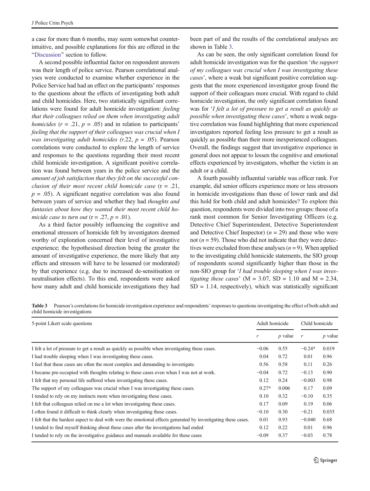a case for more than 6 months, may seem somewhat counterintuitive, and possible explanations for this are offered in the "[Discussion](#page-10-0)" section to follow.

A second possible influential factor on respondent answers was their length of police service. Pearson correlational analyses were conducted to examine whether experience in the Police Service had had an effect on the participants' responses to the questions about the effects of investigating both adult and child homicides. Here, two statistically significant correlations were found for adult homicide investigation: feeling that their colleagues relied on them when investigating adult homicides  $(r = .21, p = .05)$  and in relation to participants' feeling that the support of their colleagues was crucial when I was investigating adult homicides (r.22,  $p = .05$ ). Pearson correlations were conducted to explore the length of service and responses to the questions regarding their most recent child homicide investigation. A significant positive correlation was found between years in the police service and the amount of job satisfaction that they felt on the successful conclusion of their most recent child homicide case  $(r = .21, )$  $p = .05$ ). A significant negative correlation was also found between years of service and whether they had thoughts and fantasies about how they wanted their most recent child homicide case to turn out  $(r=.27, p=.01)$ .

As a third factor possibly influencing the cognitive and emotional stressors of homicide felt by investigators deemed worthy of exploration concerned their level of investigative experience; the hypothesised direction being the greater the amount of investigative experience, the more likely that any effects and stressors will have to be lessened (or moderated) by that experience (e.g. due to increased de-sensitisation or neutralisation effects). To this end, respondents were asked how many adult and child homicide investigations they had

been part of and the results of the correlational analyses are shown in Table 3.

As can be seen, the only significant correlation found for adult homicide investigation was for the question 'the support of my colleagues was crucial when I was investigating these cases', where a weak but significant positive correlation suggests that the more experienced investigator group found the support of their colleagues more crucial. With regard to child homicide investigation, the only significant correlation found was for 'I felt a lot of pressure to get a result as quickly as possible when investigating these cases', where a weak negative correlation was found highlighting that more experienced investigators reported feeling less pressure to get a result as quickly as possible than their more inexperienced colleagues. Overall, the findings suggest that investigative experience in general does not appear to lessen the cognitive and emotional effects experienced by investigators, whether the victim is an adult or a child.

A fourth possibly influential variable was officer rank. For example, did senior officers experience more or less stressors in homicide investigations than those of lower rank and did this hold for both child and adult homicides? To explore this question, respondents were divided into two groups: those of a rank most common for Senior Investigating Officers (e.g. Detective Chief Superintendent, Detective Superintendent and Detective Chief Inspector) ( $n = 29$ ) and those who were not ( $n = 59$ ). Those who did not indicate that they were detectives were excluded from these analyses  $(n = 9)$ . When applied to the investigating child homicide statements, the SIO group of respondents scored significantly higher than those in the non-SIO group for 'I had trouble sleeping when I was investigating these cases' ( $M = 3.07$ ,  $SD = 1.10$  and  $M = 2.34$ ,  $SD = 1.14$ , respectively), which was statistically significant

Table 3 Pearson's correlations for homicide investigation experience and respondents' responses to questions investigating the effect of both adult and child homicide investigations

| 5-point Likert scale questions                                                                                 |         | Adult homicide | Child homicide |                |  |
|----------------------------------------------------------------------------------------------------------------|---------|----------------|----------------|----------------|--|
|                                                                                                                | r       | $p$ value      | r              | <i>p</i> value |  |
| I felt a lot of pressure to get a result as quickly as possible when investigating these cases.                | $-0.06$ | 0.55           | $-0.24*$       | 0.019          |  |
| I had trouble sleeping when I was investigating these cases.                                                   | 0.04    | 0.72           | 0.01           | 0.96           |  |
| I feel that these cases are often the most complex and demanding to investigate.                               | 0.56    | 0.58           | 0.11           | 0.26           |  |
| I became pre-occupied with thoughts relating to these cases even when I was not at work.                       | $-0.04$ | 0.72           | $-0.13$        | 0.90           |  |
| I felt that my personal life suffered when investigating these cases.                                          | 0.12    | 0.24           | $-0.003$       | 0.98           |  |
| The support of my colleagues was crucial when I was investigating these cases.                                 | $0.27*$ | 0.006          | 0.17           | 0.09           |  |
| I tended to rely on my instincts more when investigating these cases.                                          | 0.10    | 0.32           | $-0.10$        | 0.35           |  |
| I felt that colleagues relied on me a lot when investigating these cases.                                      | 0.17    | 0.09           | 0.19           | 0.06           |  |
| I often found it difficult to think clearly when investigating these cases.                                    | $-0.10$ | 0.30           | $-0.21$        | 0.035          |  |
| I felt that the hardest aspect to deal with were the emotional effects generated by investigating these cases. | 0.01    | 0.93           | $-0.040$       | 0.68           |  |
| I tended to find myself thinking about these cases after the investigations had ended                          | 0.12    | 0.22           | 0.01           | 0.96           |  |
| I tended to rely on the investigative guidance and manuals available for these cases                           | $-0.09$ | 0.37           | $-0.03$        | 0.78           |  |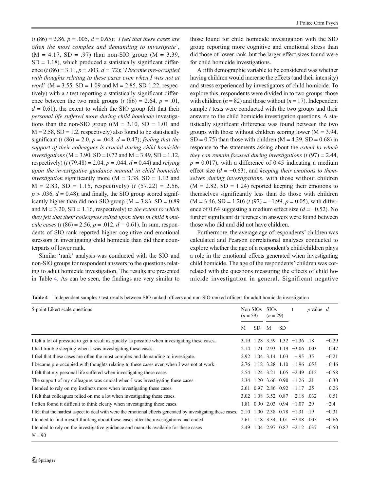$(t (86) = 2.86, p = .005, d = 0.65)$ ; *I feel that these cases are* often the most complex and demanding to investigate',  $(M = 4.17, SD = .97)$  than non-SIO group  $(M = 3.39,$  $SD = 1.18$ ), which produced a statistically significant difference  $(t (86) = 3.11, p = .003, d = .72)$ ; *T* became pre-occupied with thoughts relating to these cases even when I was not at *work*' ( $M = 3.55$ ,  $SD = 1.09$  and  $M = 2.85$ ,  $SD-1.22$ , respectively) with a  $t$  test reporting a statistically significant difference between the two rank groups (t  $(86) = 2.64$ ,  $p = .01$ ,  $d = 0.61$ ; the extent to which the SIO group felt that their personal life suffered more during child homicide investigations than the non-SIO group  $((M = 3.10, SD = 1.01)$  and  $M = 2.58$ ,  $SD = 1.2$ , respectively) also found to be statistically significant (t (86) = 2.0,  $p = .048$ ,  $d = 0.47$ ); feeling that the support of their colleagues is crucial during child homicide investigations ( $M = 3.90$ ,  $SD = 0.72$  and  $M = 3.49$ ,  $SD = 1.12$ , respectively) (t (79.48) = 2.04,  $p = .044$ ,  $d = 0.44$ ) and relying upon the investigative guidance manual in child homicide *investigation* significantly more ( $M = 3.38$ ,  $SD = 1.12$  and  $M = 2.83$ , SD = 1.15, respectively) (*t* (57.22) = 2.56,  $p > .036$ ,  $d = 0.48$ ); and finally, the SIO group scored significantly higher than did non-SIO group ( $M = 3.83$ , SD = 0.89 and  $M = 3.20$ ,  $SD = 1.16$ , respectively) to the extent to which they felt that their colleagues relied upon them in child homicide cases (t (86) = 2.56,  $p = .012$ ,  $d = 0.61$ ). In sum, respondents of SIO rank reported higher cognitive and emotional stressors in investigating child homicide than did their counterparts of lower rank.

Similar 'rank' analysis was conducted with the SIO and non-SIO groups for respondent answers to the questions relating to adult homicide investigation. The results are presented in Table 4. As can be seen, the findings are very similar to

those found for child homicide investigation with the SIO group reporting more cognitive and emotional stress than did those of lower rank, but the larger effect sizes found were for child homicide investigations.

A fifth demographic variable to be considered was whether having children would increase the effects (and their intensity) and stress experienced by investigators of child homicide. To explore this, respondents were divided in to two groups: those with children ( $n = 82$ ) and those without ( $n = 17$ ). Independent sample  $t$  tests were conducted with the two groups and their answers to the child homicide investigation questions. A statistically significant difference was found between the two groups with those without children scoring lower  $(M = 3.94,$  $SD = 0.75$ ) than those with children (M = 4.39, SD = 0.68) in response to the statements asking about the extent to which they can remain focused during investigations  $(t (97) = 2.44,$  $p = 0.017$ , with a difference of 0.45 indicating a medium effect size ( $d = -0.63$ ), and keeping their emotions to themselves during investigations, with those without children  $(M = 2.82, SD = 1.24)$  reported keeping their emotions to themselves significantly less than do those with children  $(M = 3.46, SD = 1.20)$  (t (97) = -1.99, p = 0.05), with difference of 0.64 suggesting a medium effect size ( $d = -0.52$ ). No further significant differences in answers were found between those who did and did not have children.

Furthermore, the average age of respondents' children was calculated and Pearson correlational analyses conducted to explore whether the age of a respondent's child/children plays a role in the emotional effects generated when investigating child homicide. The age of the respondents' children was correlated with the questions measuring the effects of child homicide investigation in general. Significant negative

Table 4 Independent samples t test results between SIO ranked officers and non-SIO ranked officers for adult homicide investigation

| 5-point Likert scale questions                                                                                 |      | Non-SIO <sub>s</sub><br>$(n = 59)$ |   | <b>SIOs</b><br>$(n = 29)$ | t                                                               | p value $d$ |         |
|----------------------------------------------------------------------------------------------------------------|------|------------------------------------|---|---------------------------|-----------------------------------------------------------------|-------------|---------|
|                                                                                                                | M    | <b>SD</b>                          | M | <b>SD</b>                 |                                                                 |             |         |
| I felt a lot of pressure to get a result as quickly as possible when investigating these cases.                |      |                                    |   |                           | $3.19$ $1.28$ $3.59$ $1.32$ $-1.36$ $.18$                       |             | $-0.29$ |
| I had trouble sleeping when I was investigating these cases.                                                   |      |                                    |   |                           | $2.14$ 1.21 2.93 1.19 -3.06 .003                                |             | 0.42    |
| I feel that these cases are often the most complex and demanding to investigate.                               |      |                                    |   |                           | $2.92$ 1.04 3.14 1.03 -.95 .35                                  |             | $-0.21$ |
| I became pre-occupied with thoughts relating to these cases even when I was not at work.                       |      |                                    |   |                           | 2.76 1.18 3.28 1.10 -1.96 .053                                  |             | $-0.46$ |
| I felt that my personal life suffered when investigating these cases.                                          |      |                                    |   |                           | $2.54$ 1.24 3.21 1.05 -2.49 .015                                |             | $-0.58$ |
| The support of my colleagues was crucial when I was investigating these cases.                                 |      |                                    |   |                           | $3.34$ 1.20 3.66 0.90 -1.26 .21                                 |             | $-0.30$ |
| I tended to rely on my instincts more when investigating these cases.                                          |      |                                    |   |                           | $2.61$ 0.97 2.86 0.92 -1.17 .25                                 |             | $-0.26$ |
| I felt that colleagues relied on me a lot when investigating these cases.                                      |      |                                    |   |                           | $3.02 \quad 1.08 \quad 3.52 \quad 0.87 \quad -2.18 \quad 0.032$ |             | $-0.51$ |
| I often found it difficult to think clearly when investigating these cases.                                    |      |                                    |   |                           | $1.81$ 0.90 2.03 0.94 $-1.07$ .29                               |             | $-2.4$  |
| I felt that the hardest aspect to deal with were the emotional effects generated by investigating these cases. | 2.10 |                                    |   |                           | $1.00$ 2.38 0.78 $-1.31$ .19                                    |             | $-0.31$ |
| I tended to find myself thinking about these cases after the investigations had ended                          |      |                                    |   |                           | $2.61$ 1.18 3.34 1.01 -2.88 .005                                |             | $-0.66$ |
| I tended to rely on the investigative guidance and manuals available for these cases                           |      |                                    |   |                           | $2.49$ 1.04 2.97 0.87 -2.12 .037                                |             | $-0.50$ |
| $N = 90$                                                                                                       |      |                                    |   |                           |                                                                 |             |         |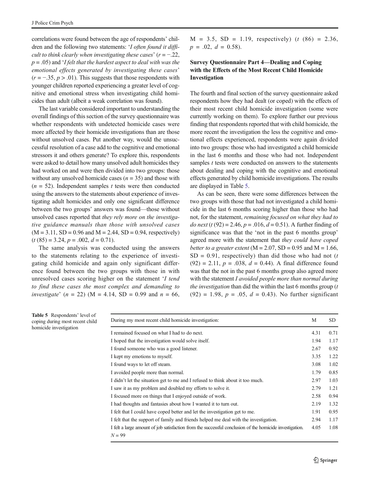<span id="page-9-0"></span>correlations were found between the age of respondents' children and the following two statements: 'I often found it difficult to think clearly when investigating these cases'  $(r = -0.22,$  $p = .05$ ) and 'I felt that the hardest aspect to deal with was the emotional effects generated by investigating these cases'  $(r = -.35, p > .01)$ . This suggests that those respondents with younger children reported experiencing a greater level of cognitive and emotional stress when investigating child homicides than adult (albeit a weak correlation was found).

The last variable considered important to understanding the overall findings of this section of the survey questionnaire was whether respondents with undetected homicide cases were more affected by their homicide investigations than are those without unsolved cases. Put another way, would the unsuccessful resolution of a case add to the cognitive and emotional stressors it and others generate? To explore this, respondents were asked to detail how many unsolved adult homicides they had worked on and were then divided into two groups: those without any unsolved homicide cases  $(n = 35)$  and those with  $(n = 52)$ . Independent samples t tests were then conducted using the answers to the statements about experience of investigating adult homicides and only one significant difference between the two groups' answers was found—those without unsolved cases reported that they rely more on the investigative guidance manuals than those with unsolved cases  $(M = 3.11, SD = 0.96$  and  $M = 2.44, SD = 0.94$ , respectively)  $(t (85) = 3.24, p = .002, d = 0.71).$ 

The same analysis was conducted using the answers to the statements relating to the experience of investigating child homicide and again only significant difference found between the two groups with those in with unresolved cases scoring higher on the statement 'I tend to find these cases the most complex and demanding to investigate'  $(n = 22)$  (M = 4.14, SD = 0.99 and  $n = 66$ ,

 $M = 3.5$ , SD = 1.19, respectively) (t  $(86) = 2.36$ ,  $p = .02, d = 0.58$ .

# Survey Questionnaire Part 4—Dealing and Coping with the Effects of the Most Recent Child Homicide Investigation

The fourth and final section of the survey questionnaire asked respondents how they had dealt (or coped) with the effects of their most recent child homicide investigation (some were currently working on them). To explore further our previous finding that respondents reported that with child homicide, the more recent the investigation the less the cognitive and emotional effects experienced, respondents were again divided into two groups: those who had investigated a child homicide in the last 6 months and those who had not. Independent samples  $t$  tests were conducted on answers to the statements about dealing and coping with the cognitive and emotional effects generated by child homicide investigations. The results are displayed in Table 5.

As can be seen, there were some differences between the two groups with those that had not investigated a child homicide in the last 6 months scoring higher than those who had not, for the statement, remaining focused on what they had to do next (t (92) = 2.46,  $p = .016$ ,  $d = 0.51$ ). A further finding of significance was that the 'not in the past 6 months group' agreed more with the statement that they could have coped better to a greater extent ( $M = 2.07$ ,  $SD = 0.95$  and  $M = 1.66$ ,  $SD = 0.91$ , respectively) than did those who had not (t  $(92) = 2.11$ ,  $p = .038$ ,  $d = 0.44$ ). A final difference found was that the not in the past 6 months group also agreed more with the statement I avoided people more than normal during the investigation than did the within the last 6 months group  $(t)$  $(92) = 1.98$ ,  $p = .05$ ,  $d = 0.43$ ). No further significant

| <b>Table 5</b> Respondents' level of<br>coping during most recent child<br>homicide investigation | During my most recent child homicide investigation:                                                                 | M    | SD.  |
|---------------------------------------------------------------------------------------------------|---------------------------------------------------------------------------------------------------------------------|------|------|
|                                                                                                   | I remained focused on what I had to do next.                                                                        | 4.31 | 0.71 |
|                                                                                                   | I hoped that the investigation would solve itself.                                                                  | 1.94 | 1.17 |
|                                                                                                   | I found someone who was a good listener.                                                                            | 2.67 | 0.92 |
|                                                                                                   | I kept my emotions to myself.                                                                                       | 3.35 | 1.22 |
|                                                                                                   | I found ways to let off steam.                                                                                      | 3.08 | 1.02 |
|                                                                                                   | I avoided people more than normal.                                                                                  | 1.79 | 0.85 |
|                                                                                                   | I didn't let the situation get to me and I refused to think about it too much.                                      | 2.97 | 1.03 |
|                                                                                                   | I saw it as my problem and doubled my efforts to solve it.                                                          | 2.79 | 1.21 |
|                                                                                                   | I focused more on things that I enjoyed outside of work.                                                            | 2.58 | 0.94 |
|                                                                                                   | I had thoughts and fantasies about how I wanted it to turn out.                                                     | 2.19 | 1.32 |
|                                                                                                   | I felt that I could have coped better and let the investigation get to me.                                          | 1.91 | 0.95 |
|                                                                                                   | I felt that the support of family and friends helped me deal with the investigation.                                | 2.94 | 1.17 |
|                                                                                                   | I felt a large amount of job satisfaction from the successful conclusion of the homicide investigation.<br>$N = 99$ | 4.05 | 1.08 |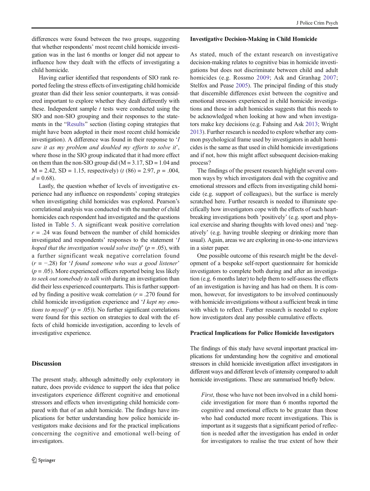<span id="page-10-0"></span>differences were found between the two groups, suggesting that whether respondents' most recent child homicide investigation was in the last 6 months or longer did not appear to influence how they dealt with the effects of investigating a child homicide.

Having earlier identified that respondents of SIO rank reported feeling the stress effects of investigating child homicide greater than did their less senior counterparts, it was considered important to explore whether they dealt differently with these. Independent sample  $t$  tests were conducted using the SIO and non-SIO grouping and their responses to the state-ments in the "[Results](#page-5-0)" section (listing coping strategies that might have been adopted in their most recent child homicide investigation). A difference was found in their response to 'I saw it as my problem and doubled my efforts to solve it', where those in the SIO group indicated that it had more effect on them than the non-SIO group did  $(M = 3.17, SD = 1.04$  and  $M = 2.42$ , SD = 1.15, respectively) (t (86) = 2.97, p = .004,  $d = 0.68$ .

Lastly, the question whether of levels of investigative experience had any influence on respondents' coping strategies when investigating child homicides was explored. Pearson's correlational analysis was conducted with the number of child homicides each respondent had investigated and the questions listed in Table [5.](#page-9-0) A significant weak positive correlation  $r = .24$  was found between the number of child homicides investigated and respondents' responses to the statement 'I hoped that the investigation would solve itself' ( $p = .05$ ), with a further significant weak negative correlation found  $(r = -0.28)$  for 'I found someone who was a good listener'  $(p = .05)$ . More experienced officers reported being less likely to seek out somebody to talk with during an investigation than did their less experienced counterparts. This is further supported by finding a positive weak correlation  $(r = .270)$  found for child homicide investigation experience and 'I kept my emotions to myself' ( $p = .05$ )). No further significant correlations were found for this section on strategies to deal with the effects of child homicide investigation, according to levels of investigative experience.

## Discussion

The present study, although admittedly only exploratory in nature, does provide evidence to support the idea that police investigators experience different cognitive and emotional stressors and effects when investigating child homicide compared with that of an adult homicide. The findings have implications for better understanding how police homicide investigators make decisions and for the practical implications concerning the cognitive and emotional well-being of investigators.

#### Investigative Decision-Making in Child Homicide

As stated, much of the extant research on investigative decision-making relates to cognitive bias in homicide investigations but does not discriminate between child and adult homicides (e.g. Rossmo [2009](#page-12-0); Ask and Granhag [2007;](#page-12-0) Stelfox and Pease [2005](#page-12-0)). The principal finding of this study that discernible differences exist between the cognitive and emotional stressors experienced in child homicide investigations and those in adult homicides suggests that this needs to be acknowledged when looking at how and when investigators make key decisions (e.g. Fahsing and Ask [2013;](#page-12-0) Wright [2013\)](#page-12-0). Further research is needed to explore whether any common psychological frame used by investigators in adult homicides is the same as that used in child homicide investigations and if not, how this might affect subsequent decision-making process?

The findings of the present research highlight several common ways by which investigators deal with the cognitive and emotional stressors and effects from investigating child homicide (e.g. support of colleagues), but the surface is merely scratched here. Further research is needed to illuminate specifically how investigators cope with the effects of such heartbreaking investigations both 'positively' (e.g. sport and physical exercise and sharing thoughts with loved ones) and 'negatively' (e.g. having trouble sleeping or drinking more than usual). Again, areas we are exploring in one-to-one interviews in a sister paper.

One possible outcome of this research might be the development of a bespoke self-report questionnaire for homicide investigators to complete both during and after an investigation (e.g. 6 months later) to help them to self-assess the effects of an investigation is having and has had on them. It is common, however, for investigators to be involved continuously with homicide investigations without a sufficient break in time with which to reflect. Further research is needed to explore how investigators deal any possible cumulative effects.

#### Practical Implications for Police Homicide Investigators

The findings of this study have several important practical implications for understanding how the cognitive and emotional stressors in child homicide investigation affect investigators in different ways and different levels of intensity compared to adult homicide investigations. These are summarised briefly below.

First, those who have not been involved in a child homicide investigation for more than 6 months reported the cognitive and emotional effects to be greater than those who had conducted more recent investigations. This is important as it suggests that a significant period of reflection is needed after the investigation has ended in order for investigators to realise the true extent of how their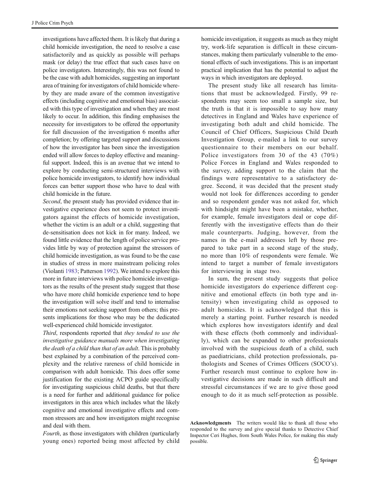investigations have affected them. It is likely that during a child homicide investigation, the need to resolve a case satisfactorily and as quickly as possible will perhaps mask (or delay) the true effect that such cases have on police investigators. Interestingly, this was not found to be the case with adult homicides, suggesting an important area of training for investigators of child homicide whereby they are made aware of the common investigative effects (including cognitive and emotional bias) associated with this type of investigation and when they are most likely to occur. In addition, this finding emphasises the necessity for investigators to be offered the opportunity for full discussion of the investigation 6 months after completion; by offering targeted support and discussions of how the investigator has been since the investigation ended will allow forces to deploy effective and meaningful support. Indeed, this is an avenue that we intend to explore by conducting semi-structured interviews with police homicide investigators, to identify how individual forces can better support those who have to deal with child homicide in the future.

Second, the present study has provided evidence that investigative experience does not seem to protect investigators against the effects of homicide investigation, whether the victim is an adult or a child, suggesting that de-sensitisation does not kick in for many. Indeed, we found little evidence that the length of police service provides little by way of protection against the stressors of child homicide investigation, as was found to be the case in studies of stress in more mainstream policing roles (Violanti [1983;](#page-12-0) Patterson [1992\)](#page-12-0). We intend to explore this more in future interviews with police homicide investigators as the results of the present study suggest that those who have more child homicide experience tend to hope the investigation will solve itself and tend to internalise their emotions not seeking support from others; this presents implications for those who may be the dedicated well-experienced child homicide investigator.

Third, respondents reported that they tended to use the investigative guidance manuals more when investigating the death of a child than that of an adult. This is probably best explained by a combination of the perceived complexity and the relative rareness of child homicide in comparison with adult homicide. This does offer some justification for the existing ACPO guide specifically for investigating suspicious child deaths, but that there is a need for further and additional guidance for police investigators in this area which includes what the likely cognitive and emotional investigative effects and common stressors are and how investigators might recognise and deal with them.

Fourth, as those investigators with children (particularly young ones) reported being most affected by child homicide investigation, it suggests as much as they might try, work-life separation is difficult in these circumstances, making them particularly vulnerable to the emotional effects of such investigations. This is an important practical implication that has the potential to adjust the ways in which investigators are deployed.

The present study like all research has limitations that must be acknowledged. Firstly, 99 respondents may seem too small a sample size, but the truth is that it is impossible to say how many detectives in England and Wales have experience of investigating both adult and child homicide. The Council of Chief Officers, Suspicious Child Death Investigation Group, e-mailed a link to our survey questionnaire to their members on our behalf. Police investigators from 30 of the 43 (70%) Police Forces in England and Wales responded to the survey, adding support to the claim that the findings were representative to a satisfactory degree. Second, it was decided that the present study would not look for differences according to gender and so respondent gender was not asked for, which with hindsight might have been a mistake, whether, for example, female investigators deal or cope differently with the investigative effects than do their male counterparts. Judging, however, from the names in the e-mail addresses left by those prepared to take part in a second stage of the study, no more than 10% of respondents were female. We intend to target a number of female investigators for interviewing in stage two.

In sum, the present study suggests that police homicide investigators do experience different cognitive and emotional effects (in both type and intensity) when investigating child as opposed to adult homicides. It is acknowledged that this is merely a starting point. Further research is needed which explores how investigators identify and deal with these effects (both commonly and individually), which can be expanded to other professionals involved with the suspicious death of a child, such as paediatricians, child protection professionals, pathologists and Scenes of Crimes Officers (SOCO's). Further research must continue to explore how investigative decisions are made in such difficult and stressful circumstances if we are to give those good enough to do it as much self-protection as possible.

Acknowledgments The writers would like to thank all those who responded to the survey and give special thanks to Detective Chief Inspector Ceri Hughes, from South Wales Police, for making this study possible.